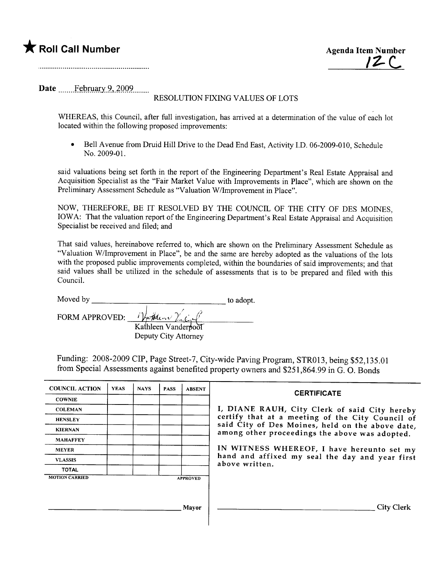



Date \_\_\_\_....l.~Rm~Y\_5~,)QQ9........

## RESOLUTION FIXING VALUES OF LOTS

WHEREAS, this Council, after full investigation, has arrived at a determination of the value of each lot located within the following proposed improvements:

• Bell Avenue from Druid Hill Drive to the Dead End East, Activity I.D. 06-2009-010, Schedule No. 2009-01.

said valuations being set forth in the report of the Engineering Department's Real Estate Appraisal and Acquisition Specialist as the "Fair Market Value with Improvements in Place", which are shown on the Preliminary Assessment Schedule as "Valuation W/lmprovement in Place".

NOW, THEREFORE, BE IT RESOLVED BY THE COUNCIL OF THE CITY OF DES MOINES, IOWA: That the valuation report of the Engineering Department's Real Estate Appraisal and Acquisition Specialist be received and filed; and

That said values, hereinabove referred to, which are shown on the Preliminary Assessment Schedule as "Valuation W/lmprovement in Place", be and the same are hereby adopted as the valuations of the lots with the proposed public improvements completed, within the boundaries of said improvements; and that said values shall be utilized in the schedule of assessments that is to be prepared and fied with this CounciL.

| Moved by              |                      | to adopt. |
|-----------------------|----------------------|-----------|
| <b>FORM APPROVED:</b> | Whether Vach         |           |
|                       | Kathleen Vanderpool  |           |
|                       | Deputy City Attorney |           |

Funding: 2008-2009 CIP, Page Street-7, City-wide Paving Program, STR013, being \$52,135.01 from Special Assessments against benefited property owners and \$251,864.99 in G. O. Bonds

| <b>COUNCIL ACTION</b>                    | <b>YEAS</b> | <b>NAYS</b> | <b>PASS</b> | <b>ABSENT</b> | <b>CERTIFICATE</b>                                                                                                                                                                                      |  |
|------------------------------------------|-------------|-------------|-------------|---------------|---------------------------------------------------------------------------------------------------------------------------------------------------------------------------------------------------------|--|
| <b>COWNIE</b>                            |             |             |             |               |                                                                                                                                                                                                         |  |
| <b>COLEMAN</b>                           |             |             |             |               | I, DIANE RAUH, City Clerk of said City hereby<br>certify that at a meeting of the City Council of<br>said City of Des Moines, held on the above date,<br>among other proceedings the above was adopted. |  |
| <b>HENSLEY</b>                           |             |             |             |               |                                                                                                                                                                                                         |  |
| <b>KIERNAN</b>                           |             |             |             |               |                                                                                                                                                                                                         |  |
| <b>MAHAFFEY</b>                          |             |             |             |               |                                                                                                                                                                                                         |  |
| <b>MEYER</b>                             |             |             |             |               | IN WITNESS WHEREOF, I have hereunto set my<br>hand and affixed my seal the day and year first<br>above written.                                                                                         |  |
| <b>VLASSIS</b>                           |             |             |             |               |                                                                                                                                                                                                         |  |
| <b>TOTAL</b>                             |             |             |             |               |                                                                                                                                                                                                         |  |
| <b>MOTION CARRIED</b><br><b>APPROVED</b> |             |             |             |               |                                                                                                                                                                                                         |  |
|                                          |             |             |             |               |                                                                                                                                                                                                         |  |
|                                          |             |             |             |               |                                                                                                                                                                                                         |  |
|                                          |             |             |             | Mayor         | City Clerk                                                                                                                                                                                              |  |
|                                          |             |             |             |               |                                                                                                                                                                                                         |  |